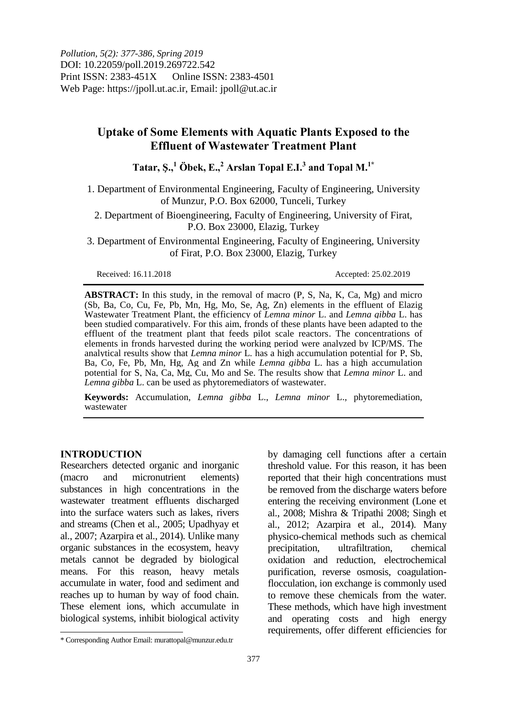# **Uptake of Some Elements with Aquatic Plants Exposed to the Effluent of Wastewater Treatment Plant**

**Tatar, Ş., <sup>1</sup> Öbek, E., <sup>2</sup> Arslan Topal E.I.<sup>3</sup> and Topal M.1\***

1. Department of Environmental Engineering, Faculty of Engineering, University of Munzur, P.O. Box 62000, Tunceli, Turkey

2. Department of Bioengineering, Faculty of Engineering, University of Firat, P.O. Box 23000, Elazig, Turkey

3. Department of Environmental Engineering, Faculty of Engineering, University of Firat, P.O. Box 23000, Elazig, Turkey

Received: 16.11.2018 Accepted: 25.02.2019

**ABSTRACT:** In this study, in the removal of macro (P, S, Na, K, Ca, Mg) and micro (Sb, Ba, Co, Cu, Fe, Pb, Mn, Hg, Mo, Se, Ag, Zn) elements in the effluent of Elazig Wastewater Treatment Plant, the efficiency of *Lemna minor* L. and *Lemna gibba* L. has been studied comparatively. For this aim, fronds of these plants have been adapted to the effluent of the treatment plant that feeds pilot scale reactors. The concentrations of elements in fronds harvested during the working period were analyzed by ICP/MS. The analytical results show that *Lemna minor* L*.* has a high accumulation potential for P, Sb, Ba, Co, Fe, Pb, Mn, Hg, Ag and Zn while *Lemna gibba* L. has a high accumulation potential for S, Na, Ca, Mg, Cu, Mo and Se. The results show that *Lemna minor* L. and *Lemna gibba* L. can be used as phytoremediators of wastewater.

**Keywords:** Accumulation, *Lemna gibba* L., *Lemna minor* L., phytoremediation, wastewater

## **INTRODUCTION**

Researchers detected organic and inorganic (macro and micronutrient elements) substances in high concentrations in the wastewater treatment effluents discharged into the surface waters such as lakes, rivers and streams (Chen et al., 2005; Upadhyay et al., 2007; Azarpira et al., 2014). Unlike many organic substances in the ecosystem, heavy metals cannot be degraded by biological means. For this reason, heavy metals accumulate in water, food and sediment and reaches up to human by way of food chain. These element ions, which accumulate in biological systems, inhibit biological activity by damaging cell functions after a certain threshold value. For this reason, it has been reported that their high concentrations must be removed from the discharge waters before entering the receiving environment (Lone et al., 2008; Mishra & Tripathi 2008; Singh et al., 2012; Azarpira et al., 2014). Many physico-chemical methods such as chemical precipitation, ultrafiltration, chemical oxidation and reduction, electrochemical purification, reverse osmosis, coagulationflocculation, ion exchange is commonly used to remove these chemicals from the water. These methods, which have high investment and operating costs and high energy requirements, offer different efficiencies for

 $\overline{\phantom{a}}$ \* Corresponding Author Email: murattopal@munzur.edu.tr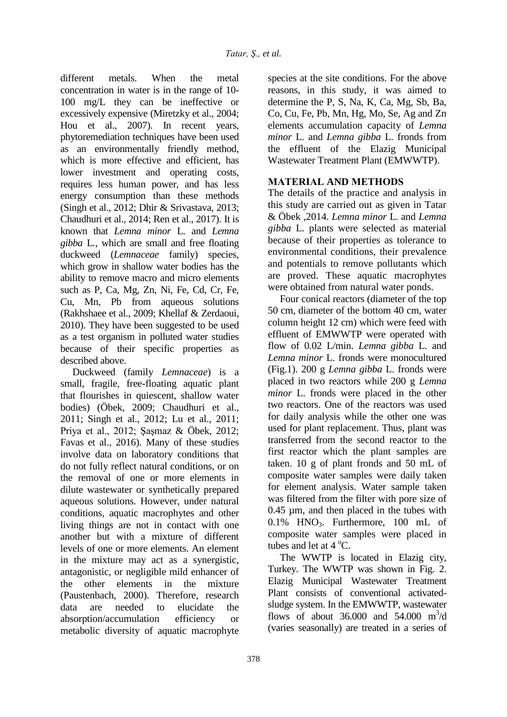different metals. When the metal concentration in water is in the range of 10- 100 mg/L they can be ineffective or excessively expensive (Miretzky et al., 2004; Hou et al., 2007). In recent years, phytoremediation techniques have been used as an environmentally friendly method, which is more effective and efficient, has lower investment and operating costs, requires less human power, and has less energy consumption than these methods (Singh et al., 2012; Dhir & Srivastava, 2013; Chaudhuri et al., 2014; Ren et al., 2017). It is known that *Lemna minor* L. and *Lemna gibba* L*.*, which are small and free floating duckweed (*Lemnaceae* family) species, which grow in shallow water bodies has the ability to remove macro and micro elements such as P, Ca, Mg, Zn, Ni, Fe, Cd, Cr, Fe, Cu, Mn, Pb from aqueous solutions (Rakhshaee et al., 2009; Khellaf & Zerdaoui, 2010). They have been suggested to be used as a test organism in polluted water studies because of their specific properties as described above.

Duckweed (family *Lemnaceae*) is a small, fragile, free-floating aquatic plant that flourishes in quiescent, shallow water bodies) (Öbek, 2009; Chaudhuri et al., 2011; Singh et al., 2012; Lu et al., 2011; Priya et al., 2012; Şaşmaz & Öbek, 2012; Favas et al., 2016). Many of these studies involve data on laboratory conditions that do not fully reflect natural conditions, or on the removal of one or more elements in dilute wastewater or synthetically prepared aqueous solutions. However, under natural conditions, aquatic macrophytes and other living things are not in contact with one another but with a mixture of different levels of one or more elements. An element in the mixture may act as a synergistic, antagonistic, or negligible mild enhancer of the other elements in the mixture (Paustenbach, 2000). Therefore, research data are needed to elucidate the absorption/accumulation efficiency or metabolic diversity of aquatic macrophyte

species at the site conditions. For the above reasons, in this study, it was aimed to determine the P, S, Na, K, Ca, Mg, Sb, Ba, Co, Cu, Fe, Pb, Mn, Hg, Mo, Se, Ag and Zn elements accumulation capacity of *Lemna minor* L. and *Lemna gibba* L. fronds from the effluent of the Elazig Municipal Wastewater Treatment Plant (EMWWTP).

## **MATERIAL AND METHODS**

The details of the practice and analysis in this study are carried out as given in Tatar & Öbek ,2014. *Lemna minor* L. and *Lemna gibba* L. plants were selected as material because of their properties as tolerance to environmental conditions, their prevalence and potentials to remove pollutants which are proved. These aquatic macrophytes were obtained from natural water ponds.

Four conical reactors (diameter of the top 50 cm, diameter of the bottom 40 cm, water column height 12 cm) which were feed with effluent of EMWWTP were operated with flow of 0.02 L/min. *Lemna gibba* L. and *Lemna minor* L. fronds were monocultured (Fig.1). 200 g *Lemna gibba* L. fronds were placed in two reactors while 200 g *Lemna minor* L. fronds were placed in the other two reactors. One of the reactors was used for daily analysis while the other one was used for plant replacement. Thus, plant was transferred from the second reactor to the first reactor which the plant samples are taken. 10 g of plant fronds and 50 mL of composite water samples were daily taken for element analysis. Water sample taken was filtered from the filter with pore size of 0.45 µm, and then placed in the tubes with  $0.1\%$  HNO<sub>3</sub>. Furthermore, 100 mL of composite water samples were placed in tubes and let at  $4^{\circ}$ C.

The WWTP is located in Elazig city, Turkey. The WWTP was shown in Fig. 2. Elazig Municipal Wastewater Treatment Plant consists of conventional activatedsludge system. In the EMWWTP, wastewater flows of about 36.000 and 54.000  $\text{m}^3/\text{d}$ (varies seasonally) are treated in a series of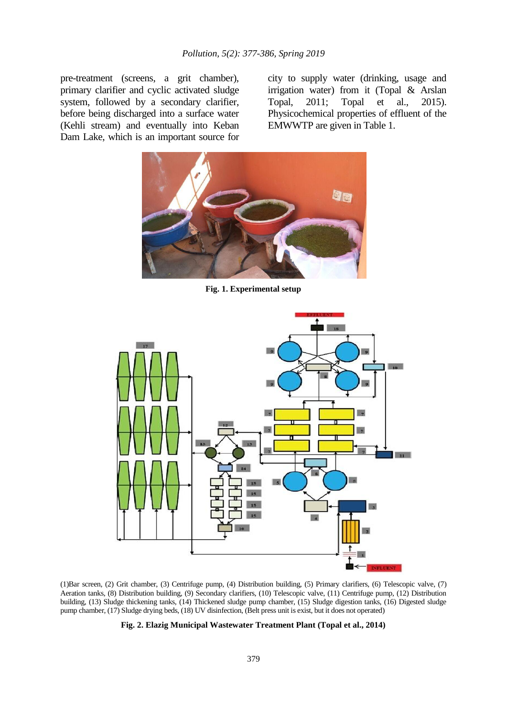pre-treatment (screens, a grit chamber), primary clarifier and cyclic activated sludge system, followed by a secondary clarifier, before being discharged into a surface water (Kehli stream) and eventually into Keban Dam Lake, which is an important source for city to supply water (drinking, usage and irrigation water) from it (Topal & Arslan Topal, 2011; Topal et al., 2015). Physicochemical properties of effluent of the EMWWTP are given in Table 1.



**Fig. 1. Experimental setup**



(1)Bar screen, (2) Grit chamber, (3) Centrifuge pump, (4) Distribution building, (5) Primary clarifiers, (6) Telescopic valve, (7) Aeration tanks, (8) Distribution building, (9) Secondary clarifiers, (10) Telescopic valve, (11) Centrifuge pump, (12) Distribution building, (13) Sludge thickening tanks, (14) Thickened sludge pump chamber, (15) Sludge digestion tanks, (16) Digested sludge pump chamber, (17) Sludge drying beds, (18) UV disinfection, (Belt press unit is exist, but it does not operated)

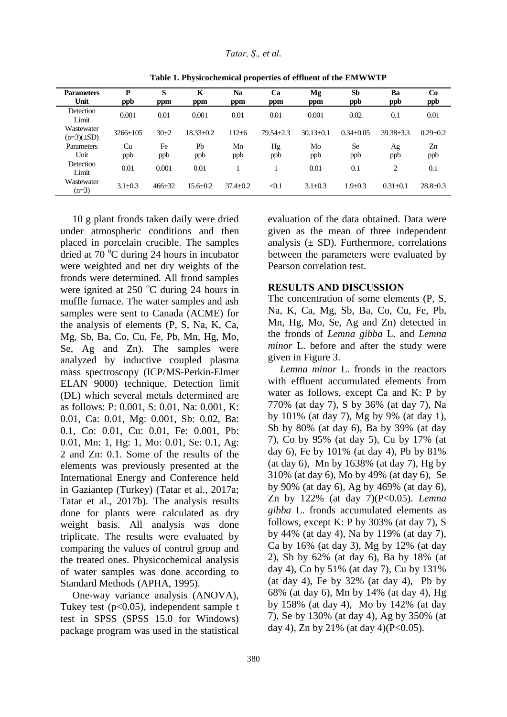| <b>Parameters</b><br>Unit     | P<br>ppb       | S<br>ppm     | K<br>ppm       | Na<br>ppm      | Ca<br>ppm       | Mg<br>ppm       | <b>Sb</b><br>ppb | Ba<br>ppb       | Co<br>ppb      |
|-------------------------------|----------------|--------------|----------------|----------------|-----------------|-----------------|------------------|-----------------|----------------|
| Detection<br>Limit            | 0.001          | 0.01         | 0.001          | 0.01           | 0.01            | 0.001           | 0.02             | 0.1             | 0.01           |
| Wastewater<br>$(n=3)(\pm SD)$ | $3266 \pm 105$ | $30+2$       | $18.33+0.2$    | $112 + 6$      | $79.54 \pm 2.3$ | $30.13 \pm 0.1$ | $0.34 \pm 0.05$  | $39.38 \pm 3.3$ | $0.29 \pm 0.2$ |
| Parameters<br>Unit            | Cu<br>ppb      | Fe<br>ppb    | Pb<br>ppb      | Mn<br>ppb      | Hg<br>ppb       | Mo<br>ppb       | <b>Se</b><br>ppb | Ag<br>ppb       | Zn<br>ppb      |
| Detection<br>Limit            | 0.01<br>0.001  |              | 0.01           |                |                 | 0.01            | 0.1              | 2               | 0.1            |
| Wastewater<br>$(n=3)$         | $3.1 \pm 0.3$  | $466 \pm 32$ | $15.6 \pm 0.2$ | $37.4 \pm 0.2$ | < 0.1           | $3.1 \pm 0.3$   | $1.9 + 0.3$      | $0.31 \pm 0.1$  | $28.8 \pm 0.3$ |

**Table 1. Physicochemical properties of effluent of the EMWWTP**

10 g plant fronds taken daily were dried under atmospheric conditions and then placed in porcelain crucible. The samples dried at 70 $\degree$ C during 24 hours in incubator were weighted and net dry weights of the fronds were determined. All frond samples were ignited at  $250^{\circ}$ C during 24 hours in muffle furnace. The water samples and ash samples were sent to Canada (ACME) for the analysis of elements (P, S, Na, K, Ca, Mg, Sb, Ba, Co, Cu, Fe, Pb, Mn, Hg, Mo, Se, Ag and Zn). The samples were analyzed by inductive coupled plasma mass spectroscopy (ICP/MS-Perkin-Elmer ELAN 9000) technique. Detection limit (DL) which several metals determined are as follows: P: 0.001, S: 0.01, Na: 0.001, K: 0.01, Ca: 0.01, Mg: 0.001, Sb: 0.02, Ba: 0.1, Co: 0.01, Cu: 0.01, Fe: 0.001, Pb: 0.01, Mn: 1, Hg: 1, Mo: 0.01, Se: 0.1, Ag: 2 and Zn: 0.1. Some of the results of the elements was previously presented at the International Energy and Conference held in Gaziantep (Turkey) (Tatar et al., 2017a; Tatar et al., 2017b). The analysis results done for plants were calculated as dry weight basis. All analysis was done triplicate. The results were evaluated by comparing the values of control group and the treated ones. Physicochemical analysis of water samples was done according to Standard Methods (APHA, 1995).

One-way variance analysis (ANOVA), Tukey test  $(p<0.05)$ , independent sample t test in SPSS (SPSS 15.0 for Windows) package program was used in the statistical evaluation of the data obtained. Data were given as the mean of three independent analysis  $(\pm SD)$ . Furthermore, correlations between the parameters were evaluated by Pearson correlation test.

#### **RESULTS AND DISCUSSION**

The concentration of some elements (P, S, Na, K, Ca, Mg, Sb, Ba, Co, Cu, Fe, Pb, Mn, Hg, Mo, Se, Ag and Zn) detected in the fronds of *Lemna gibba* L. and *Lemna minor* L. before and after the study were given in Figure 3.

*Lemna minor* L. fronds in the reactors with effluent accumulated elements from water as follows, except Ca and K: P by 770% (at day 7), S by 36% (at day 7), Na by 101% (at day 7), Mg by 9% (at day 1), Sb by 80% (at day 6), Ba by 39% (at day 7), Co by 95% (at day 5), Cu by 17% (at day 6), Fe by 101% (at day 4), Pb by 81% (at day 6), Mn by 1638% (at day 7), Hg by 310% (at day 6), Mo by 49% (at day 6), Se by 90% (at day 6), Ag by 469% (at day 6), Zn by 122% (at day 7)(P<0.05). *Lemna gibba* L. fronds accumulated elements as follows, except K: P by 303% (at day 7), S by 44% (at day 4), Na by 119% (at day 7), Ca by 16% (at day 3), Mg by 12% (at day 2), Sb by 62% (at day 6), Ba by 18% (at day 4), Co by 51% (at day 7), Cu by 131% (at day 4), Fe by  $32\%$  (at day 4), Pb by 68% (at day 6), Mn by 14% (at day 4), Hg by 158% (at day 4), Mo by 142% (at day 7), Se by 130% (at day 4), Ag by 350% (at day 4), Zn by 21% (at day 4)( $P < 0.05$ ).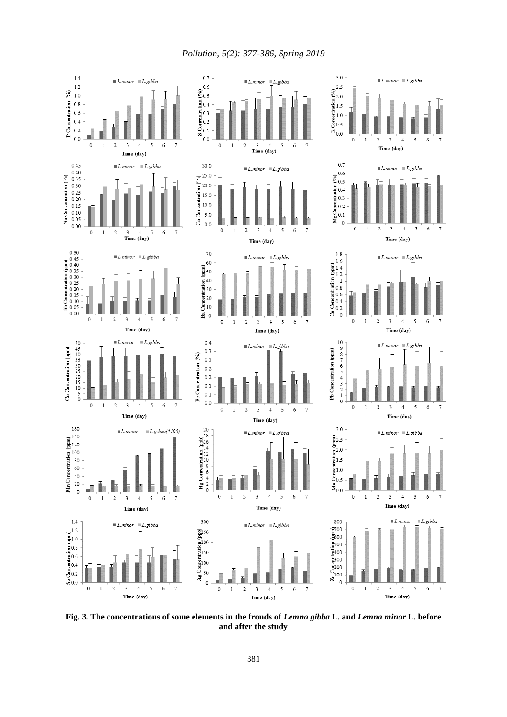*Pollution, 5(2): 377-386, Spring 2019*



**Fig. 3. The concentrations of some elements in the fronds of** *Lemna gibba* **L. and** *Lemna minor* **L. before and after the study**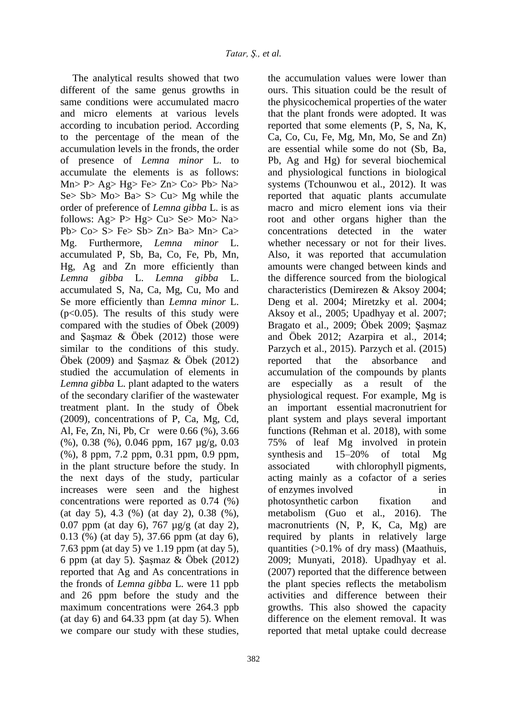The analytical results showed that two different of the same genus growths in same conditions were accumulated macro and micro elements at various levels according to incubation period. According to the percentage of the mean of the accumulation levels in the fronds, the order of presence of *Lemna minor* L. to accumulate the elements is as follows:  $Mn > P > Ag > Hg > Fe > Zn > Co > Pb > Na >$ Se> Sb> Mo> Ba> S> Cu> Mg while the order of preference of *Lemna gibba* L. is as follows: Ag> P> Hg> Cu> Se> Mo> Na> Pb>  $Co > S > Fe > Sb > Zn > Ba > Mn > Ca >$ Mg. Furthermore, *Lemna minor* L. accumulated P, Sb, Ba, Co, Fe, Pb, Mn, Hg, Ag and Zn more efficiently than *Lemna gibba* L. *Lemna gibba* L. accumulated S, Na, Ca, Mg, Cu, Mo and Se more efficiently than *Lemna minor* L.  $(p<0.05)$ . The results of this study were compared with the studies of Öbek (2009) and Şaşmaz & Öbek (2012) those were similar to the conditions of this study. Öbek (2009) and Şaşmaz & Öbek (2012) studied the accumulation of elements in *Lemna gibba* L. plant adapted to the waters of the secondary clarifier of the wastewater treatment plant. In the study of Öbek (2009), concentrations of P, Ca, Mg, Cd, Al, Fe, Zn, Ni, Pb, Cr were 0.66 (%), 3.66 (%), 0.38 (%), 0.046 ppm, 167 µg/g, 0.03 (%), 8 ppm, 7.2 ppm, 0.31 ppm, 0.9 ppm, in the plant structure before the study. In the next days of the study, particular increases were seen and the highest concentrations were reported as 0.74 (%) (at day 5), 4.3 (%) (at day 2), 0.38 (%), 0.07 ppm (at day 6), 767 µg/g (at day 2), 0.13 (%) (at day 5), 37.66 ppm (at day 6), 7.63 ppm (at day 5) ve 1.19 ppm (at day 5), 6 ppm (at day 5). Şaşmaz & Öbek (2012) reported that Ag and As concentrations in the fronds of *Lemna gibba* L. were 11 ppb and 26 ppm before the study and the maximum concentrations were 264.3 ppb (at day  $6$ ) and  $64.33$  ppm (at day  $5$ ). When we compare our study with these studies,

the accumulation values were lower than ours. This situation could be the result of the physicochemical properties of the water that the plant fronds were adopted. It was reported that some elements (P, S, Na, K, Ca, Co, Cu, Fe, Mg, Mn, Mo, Se and Zn) are essential while some do not (Sb, Ba, Pb, Ag and Hg) for several biochemical and physiological functions in biological systems (Tchounwou et al., 2012). It was reported that aquatic plants accumulate macro and micro element ions via their root and other organs higher than the concentrations detected in the water whether necessary or not for their lives. Also, it was reported that accumulation amounts were changed between kinds and the difference sourced from the biological characteristics (Demirezen & Aksoy 2004; Deng et al. 2004; Miretzky et al. 2004; Aksoy et al., 2005; Upadhyay et al. 2007; Bragato et al., 2009; Öbek 2009; Şaşmaz and Öbek 2012; Azarpira et al., 2014; Parzych et al., 2015). Parzych et al. (2015) reported that the absorbance and accumulation of the compounds by plants are especially as a result of the physiological request. For example, Mg is an important essential macronutrient for plant system and plays several important functions (Rehman et al. 2018), with some 75% of leaf Mg involved in protein synthesis and 15–20% of total Mg associated with chlorophyll pigments, acting mainly as a cofactor of a series of enzymes involved in photosynthetic carbon fixation and metabolism (Guo et al., 2016). The macronutrients (N, P, K, Ca, Mg) are required by plants in relatively large quantities (>0.1% of dry mass) (Maathuis, 2009; Munyati, 2018). Upadhyay et al. (2007) reported that the difference between the plant species reflects the metabolism activities and difference between their growths. This also showed the capacity difference on the element removal. It was reported that metal uptake could decrease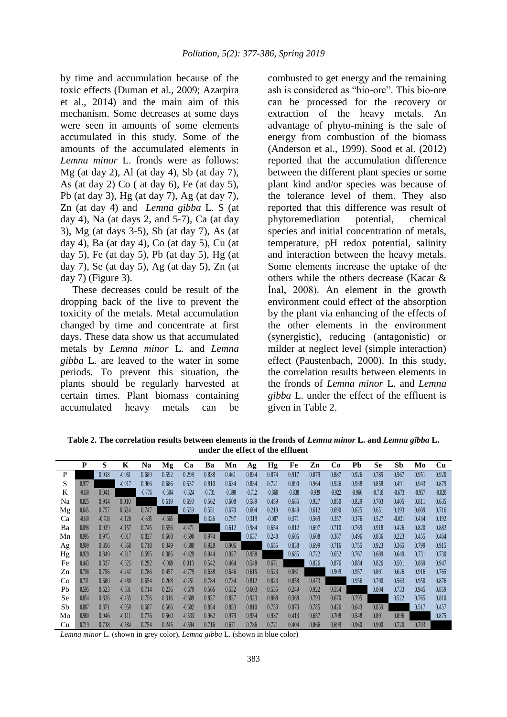by time and accumulation because of the toxic effects (Duman et al., 2009; Azarpira et al., 2014) and the main aim of this mechanism. Some decreases at some days were seen in amounts of some elements accumulated in this study. Some of the amounts of the accumulated elements in *Lemna minor* L. fronds were as follows: Mg (at day 2), Al (at day 4), Sb (at day 7), As (at day 2) Co ( at day 6), Fe (at day 5), Pb (at day 3), Hg (at day 7), Ag (at day 7), Zn (at day 4) and *Lemna gibba* L. S (at day 4), Na (at days 2, and  $5-7$ ), Ca (at day 3), Mg (at days 3-5), Sb (at day 7), As (at day 4), Ba (at day 4), Co (at day 5), Cu (at day 5), Fe (at day 5), Pb (at day 5), Hg (at day 7), Se (at day 5), Ag (at day 5), Zn (at day 7) (Figure 3).

These decreases could be result of the dropping back of the live to prevent the toxicity of the metals. Metal accumulation changed by time and concentrate at first days. These data show us that accumulated metals by *Lemna minor* L. and *Lemna gibba* L. are leaved to the water in some periods. To prevent this situation, the plants should be regularly harvested at certain times. Plant biomass containing accumulated heavy metals can be

combusted to get energy and the remaining ash is considered as "bio-ore". This bio-ore can be processed for the recovery or extraction of the heavy metals. An advantage of phyto-mining is the sale of energy from combustion of the biomass (Anderson et al., 1999). Sood et al. (2012) reported that the accumulation difference between the different plant species or some plant kind and/or species was because of the tolerance level of them. They also reported that this difference was result of phytoremediation potential, chemical species and initial concentration of metals, temperature, pH redox potential, salinity and interaction between the heavy metals. Some elements increase the uptake of the others while the others decrease (Kacar & İnal, 2008). An element in the growth environment could effect of the absorption by the plant via enhancing of the effects of the other elements in the environment (synergistic), reducing (antagonistic) or milder at neglect level (simple interaction) effect (Paustenbach, 2000). In this study, the correlation results between elements in the fronds of *Lemna minor* L. and *Lemna gibba* L. under the effect of the effluent is given in Table 2.

**Table 2. The correlation results between elements in the fronds of** *Lemna minor* **L. and** *Lemna gibba* **L. under the effect of the effluent**

|    | P        | S        | K        | Na       | Mg       | Ca       | Ba       | Mn       | Ag       | Hg       | Fe       | Zn       | Co       | Pb       | <b>Se</b> | Sb       | Mo       | Cu       |
|----|----------|----------|----------|----------|----------|----------|----------|----------|----------|----------|----------|----------|----------|----------|-----------|----------|----------|----------|
| P  |          | 0.918    | $-0.961$ | 0.689    | 0.592    | 0.298    | 0.838    | 0.461    | 0.834    | 0.874    | 0.917    | 0.879    | 0.887    | 0.926    | 0.785     | 0.567    | 0.951    | 0.920    |
| S  | 0.977    |          | $-0.917$ | 0.906    | 0.686    | 0.537    | 0.810    | 0.634    | 0.834    | 0.721    | 0.890    | 0.964    | 0.926    | 0.938    | 0.858     | 0.491    | 0.943    | 0.879    |
| K  | $-0.630$ | 0.041    |          | $-0.776$ | $-0.504$ | $-0.324$ | $-0.731$ | $-0.390$ | $-0.712$ | $-0.860$ | $-0.838$ | $-0.939$ | $-0.922$ | $-0.966$ | $-0.718$  | $-0.673$ | $-0.957$ | $-0.828$ |
| Na | 0.825    | 0.914    | 0.010    |          | 0.619    | 0.693    | 0.562    | 0.608    | 0.589    | 0.459    | 0.685    | 0.927    | 0.850    | 0.829    | 0.703     | 0.405    | 0.811    | 0.635    |
| Mg | 0.645    | 0.757    | 0.624    | 0.747    |          | 0.539    | 0.551    | 0.670    | 0.604    | 0.219    | 0.849    | 0.612    | 0.690    | 0.625    | 0.651     | 0.193    | 0.609    | 0.716    |
| Ca | $-0.610$ | $-0.703$ | $-0.128$ | $-0.805$ | $-0.665$ |          | 0.326    | 0.797    | 0.319    | $-0.007$ | 0.371    | 0.569    | 0.357    | 0.376    | 0.527     | $-0.021$ | 0.434    | 0.192    |
| Ba | 0.098    | 0.929    | $-0.157$ | 0.745    | 0.556    | $-0.471$ |          | 0.612    | 0.984    | 0.654    | 0.812    | 0.697    | 0.710    | 0.769    | 0.918     | 0.426    | 0.820    | 0.882    |
| Mn | 0.995    | 0.975    | $-0.017$ | 0.827    | 0.668    | $-0.590$ | 0.974    |          | 0.637    | 0.248    | 0.606    | 0.608    | 0.387    | 0.496    | 0.836     | 0.223    | 0.455    | 0.464    |
| Ag | 0.909    | 0.856    | $-0.368$ | 0.718    | 0.349    | $-0.388$ | 0.928    | 0.906    |          | 0.655    | 0.838    | 0.699    | 0.716    | 0.755    | 0.923     | 0.365    | 0.799    | 0.915    |
| Hg | 0.920    | 0.849    | $-0.317$ | 0.695    | 0.386    | $-0.429$ | 0.944    | 0.927    | 0.958    |          | 0.685    | 0.722    | 0.652    | 0.767    | 0.609     | 0.649    | 0.731    | 0.730    |
| Fe | 0.443    | 0.337    | $-0.525$ | 0.292    | $-0.069$ | 0.013    | 0.542    | 0.464    | 0.548    | 0.671    |          | 0.826    | 0.876    | 0.884    | 0.826     | 0.501    | 0.869    | 0.947    |
| Zn | 0.708    | 0.756    | $-0.242$ | 0.786    | 0.457    | $-0.779$ | 0.638    | 0.646    | 0.615    | 0.523    | 0.061    |          | 0.909    | 0.957    | 0.801     | 0.626    | 0.916    | 0.765    |
| Co | 0.731    | 0.680    | $-0.480$ | 0.654    | 0.208    | $-0.251$ | 0.784    | 0.734    | 0.812    | 0.823    | 0.858    | 0.473    |          | 0.956    | 0.700     | 0.563    | 0.950    | 0.876    |
| Pb | 0.595    | 0.623    | $-0.531$ | 0.714    | 0.236    | $-0.679$ | 0.566    | 0.532    | 0.603    | 0.535    | 0.249    | 0.922    | 0.554    |          | 0.804     | 0.733    | 0.945    | 0.859    |
| Se | 0.854    | 0.826    | $-0.435$ | 0.756    | 0.316    | $-0.609$ | 0.827    | 0.827    | 0.923    | 0.868    | 0.368    | 0.793    | 0.670    | 0.795    |           | 0.522    | 0.765    | 0.810    |
| Sb | 0.887    | 0.871    | $-0.059$ | 0.687    | 0.566    | $-0.602$ | 0.854    | 0.853    | 0.810    | 0.753    | 0.073    | 0.785    | 0.426    | 0.643    | 0.859     |          | 0.517    | 0.457    |
| Mo | 0.980    | 0.946    | $-0.111$ | 0.776    | 0.560    | $-0.533$ | 0.962    | 0.979    | 0.954    | 0.937    | 0.413    | 0.657    | 0.708    | 0.548    | 0.891     | 0.896    |          | 0.875    |
| Cu | 0.719    | 0.718    | $-0.584$ | 0.754    | 0.245    | $-0.594$ | 0.716    | 0.671    | 0.786    | 0.721    | 0.404    | 0.866    | 0.699    | 0.960    | 0.900     | 0.720    | 0.703    |          |

*Lemna minor* L. (shown in grey color), *Lemna gibba* L. (shown in blue color)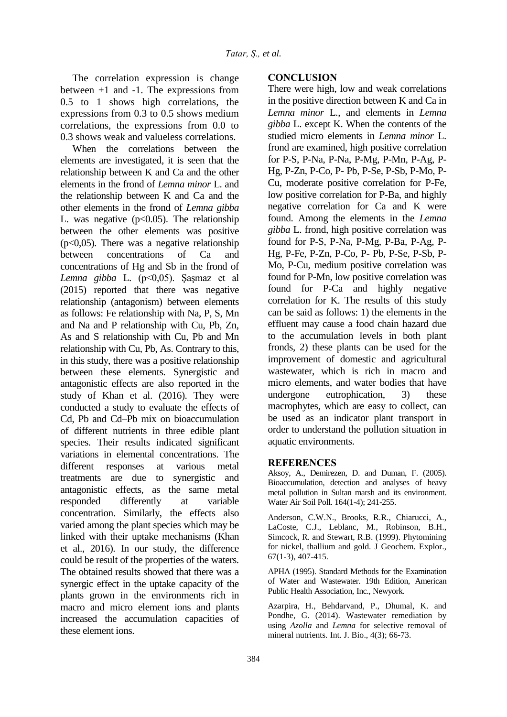The correlation expression is change between  $+1$  and  $-1$ . The expressions from 0.5 to 1 shows high correlations, the expressions from 0.3 to 0.5 shows medium correlations, the expressions from 0.0 to 0.3 shows weak and valueless correlations.

When the correlations between the elements are investigated, it is seen that the relationship between K and Ca and the other elements in the frond of *Lemna minor* L. and the relationship between K and Ca and the other elements in the frond of *Lemna gibba* L. was negative  $(p<0.05)$ . The relationship between the other elements was positive  $(p<0.05)$ . There was a negative relationship between concentrations of Ca and concentrations of Hg and Sb in the frond of *Lemna gibba* L. (p<0,05). Şaşmaz et al (2015) reported that there was negative relationship (antagonism) between elements as follows: Fe relationship with Na, P, S, Mn and Na and P relationship with Cu, Pb, Zn, As and S relationship with Cu, Pb and Mn relationship with Cu, Pb, As. Contrary to this, in this study, there was a positive relationship between these elements. Synergistic and antagonistic effects are also reported in the study of Khan et al. (2016). They were conducted a study to evaluate the effects of Cd, Pb and Cd–Pb mix on bioaccumulation of different nutrients in three edible plant species. Their results indicated significant variations in elemental concentrations. The different responses at various metal treatments are due to synergistic and antagonistic effects, as the same metal responded differently at variable concentration. Similarly, the effects also varied among the plant species which may be linked with their uptake mechanisms (Khan et al., 2016). In our study, the difference could be result of the properties of the waters. The obtained results showed that there was a synergic effect in the uptake capacity of the plants grown in the environments rich in macro and micro element ions and plants increased the accumulation capacities of these element ions.

### **CONCLUSION**

There were high, low and weak correlations in the positive direction between K and Ca in *Lemna minor* L., and elements in *Lemna gibba* L. except K. When the contents of the studied micro elements in *Lemna minor* L. frond are examined, high positive correlation for P-S, P-Na, P-Na, P-Mg, P-Mn, P-Ag, P-Hg, P-Zn, P-Co, P- Pb, P-Se, P-Sb, P-Mo, P-Cu, moderate positive correlation for P-Fe, low positive correlation for P-Ba, and highly negative correlation for Ca and K were found. Among the elements in the *Lemna gibba* L. frond, high positive correlation was found for P-S, P-Na, P-Mg, P-Ba, P-Ag, P-Hg, P-Fe, P-Zn, P-Co, P- Pb, P-Se, P-Sb, P-Mo, P-Cu, medium positive correlation was found for P-Mn, low positive correlation was found for P-Ca and highly negative correlation for K. The results of this study can be said as follows: 1) the elements in the effluent may cause a food chain hazard due to the accumulation levels in both plant fronds, 2) these plants can be used for the improvement of domestic and agricultural wastewater, which is rich in macro and micro elements, and water bodies that have undergone eutrophication, 3) these macrophytes, which are easy to collect, can be used as an indicator plant transport in order to understand the pollution situation in aquatic environments.

#### **REFERENCES**

Aksoy, A., Demirezen, D. and Duman, F. (2005). Bioaccumulation, detection and analyses of heavy metal pollution in Sultan marsh and its environment. Water Air Soil Poll. 164(1-4); 241-255.

Anderson, C.W.N., Brooks, R.R., Chiarucci, A., LaCoste, C.J., Leblanc, M., Robinson, B.H., Simcock, R. and Stewart, R.B. (1999). Phytomining for nickel, thallium and gold. J Geochem. Explor., 67(1-3), 407-415.

APHA (1995). Standard Methods for the Examination of Water and Wastewater. 19th Edition, American Public Health Association, Inc., Newyork.

Azarpira, H., Behdarvand, P., Dhumal, K. and Pondhe, G. (2014). Wastewater remediation by using *Azolla* and *Lemna* for selective removal of mineral nutrients. Int. J. Bio., 4(3); 66-73.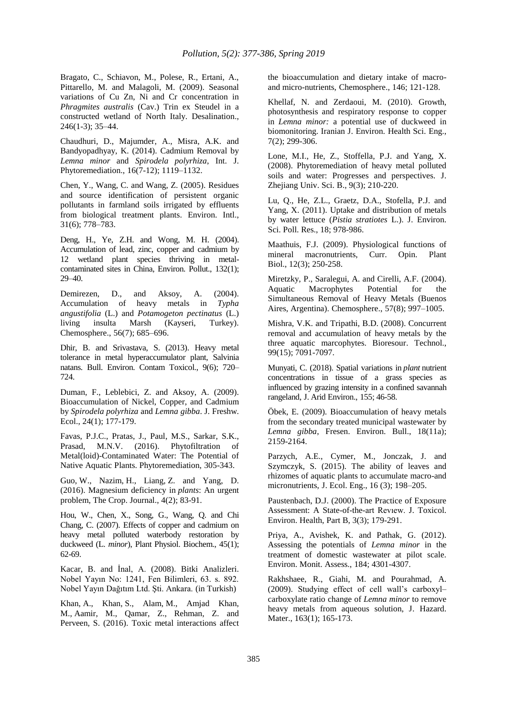Bragato, C., Schiavon, M., Polese, R., Ertani, A., Pittarello, M. and Malagoli, M. (2009). Seasonal variations of Cu Zn, Ni and Cr concentration in *Phragmites australis* (Cav.) Trin ex Steudel in a constructed wetland of North Italy. Desalination., 246(1-3); 35–44.

Chaudhuri, D., Majumder, A., Misra, A.K. and Bandyopadhyay, K. (2014). Cadmium Removal by *Lemna minor* and *Spirodela polyrhiza*, Int. J. Phytoremediation., 16(7-12); 1119–1132.

Chen, Y., Wang, C. and Wang, Z. (2005). Residues and source identification of persistent organic pollutants in farmland soils irrigated by effluents from biological treatment plants. Environ. Intl., 31(6); 778–783.

Deng, H., Ye, Z.H. and Wong, M. H. (2004). Accumulation of lead, zinc, copper and cadmium by 12 wetland plant species thriving in metalcontaminated sites in China, Environ. Pollut., 132(1); 29–40.

Demirezen, D., and Aksoy, A. (2004). Accumulation of heavy metals in *Typha angustifolia* (L.) and *Potamogeton pectinatus* (L.) living insulta Marsh (Kayseri, Turkey). Chemosphere., 56(7); 685–696.

Dhir, B. and Srivastava, S. (2013). Heavy metal tolerance in metal hyperaccumulator plant, Salvinia natans. Bull. Environ. Contam Toxicol., 9(6); 720– 724.

Duman, F., Leblebici, Z. and Aksoy, A. (2009). Bioaccumulation of Nickel, Copper, and Cadmium by *Spirodela polyrhiza* and *Lemna gibba*. J. Freshw. Ecol., 24(1); 177-179.

Favas, P.J.C., Pratas, J., Paul, M.S., Sarkar, S.K., Prasad, M.N.V. (2016). Phytofiltration of Metal(loid)-Contaminated Water: The Potential of Native Aquatic Plants. Phytoremediation, 305-343.

Guo, W., Nazim, H., Liang, Z. and Yang, D. (2016). Magnesium deficiency in *plants*: An urgent problem, The Crop. Journal., 4(2); 83-91.

Hou, W., Chen, X., Song, G., Wang, Q. and Chi Chang, C. (2007). Effects of copper and cadmium on heavy metal polluted waterbody restoration by duckweed (L. *minor*), Plant Physiol. Biochem., 45(1); 62-69.

Kacar, B. and İnal, A. (2008). Bitki Analizleri. Nobel Yayın No: 1241, Fen Bilimleri, 63. s. 892. Nobel Yayın Dağıtım Ltd. Şti. Ankara. (in Turkish)

Khan, A., Khan, S., Alam, M., Amjad Khan, M., Aamir, M., Qamar, Z., Rehman, Z. and Perveen, S. (2016). Toxic metal interactions affect the bioaccumulation and dietary intake of macroand micro-nutrients, Chemosphere., 146; 121-128.

Khellaf, N. and Zerdaoui, M. (2010). Growth, photosynthesis and respiratory response to copper in *Lemna minor:* a potential use of duckweed in biomonitoring. Iranian J. Environ. Health Sci. Eng., 7(2); 299-306.

Lone, M.I., He, Z., Stoffella, P.J. and Yang, X. (2008). Phytoremediation of heavy metal polluted soils and water: Progresses and perspectives. J. Zhejiang Univ. Sci. B., 9(3); 210-220.

Lu, Q., He, Z.L., Graetz, D.A., Stofella, P.J. and Yang, X. (2011). Uptake and distribution of metals by water lettuce (*Pistia stratiotes* L.). J. Environ. Sci. Poll. Res., 18; 978-986.

Maathuis, F.J. (2009). Physiological functions of mineral macronutrients, Curr. Opin. Plant Biol., 12(3); 250-258.

Miretzky, P., Saralegui, A. and Cirelli, A.F. (2004). Aquatic Macrophytes Potential for the Simultaneous Removal of Heavy Metals (Buenos Aires, Argentina). Chemosphere., 57(8); 997–1005.

Mishra, V.K. and Tripathi, B.D. (2008). Concurrent removal and accumulation of heavy metals by the three aquatic marcophytes. Bioresour. Technol., 99(15); 7091-7097.

Munyati, C. (2018). Spatial variations in *plant* nutrient concentrations in tissue of a grass species as influenced by grazing intensity in a confined savannah rangeland, J. Arid Environ., 155; 46-58.

Öbek, E. (2009). Bioaccumulation of heavy metals from the secondary treated municipal wastewater by *Lemna gibba*, Fresen. Environ. Bull., 18(11a); 2159-2164.

Parzych, A.E., Cymer, M., Jonczak, J. and Szymczyk, S. (2015). The ability of leaves and rhizomes of aquatic plants to accumulate macro-and micronutrients, J. Ecol. Eng., 16 (3); 198–205.

Paustenbach, D.J. (2000). The Practice of Exposure Assessment: A State-of-the-art Revıew. J. Toxicol. Environ. Health, Part B, 3(3); 179-291.

Priya, A., Avishek, K. and Pathak, G. (2012). Assessing the potentials of *Lemna minor* in the treatment of domestic wastewater at pilot scale. Environ. Monit. Assess., 184; 4301-4307.

Rakhshaee, R., Giahi, M. and Pourahmad, A. (2009). Studying effect of cell wall's carboxyl– carboxylate ratio change of *Lemna minor* to remove heavy metals from aqueous solution, J. Hazard. Mater., 163(1); 165-173.